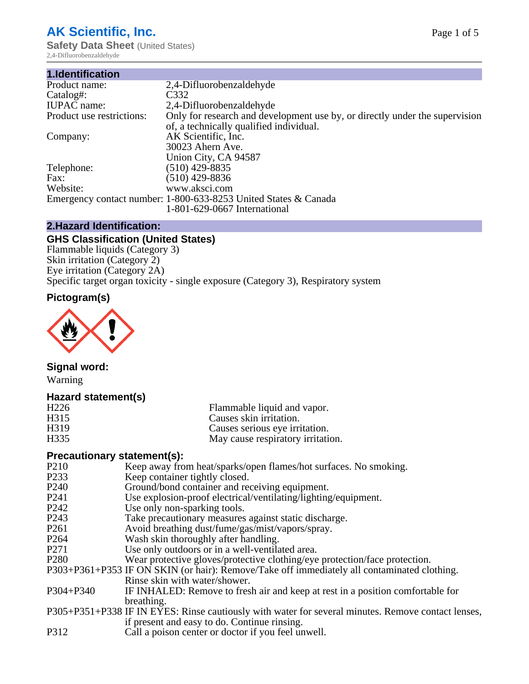# **AK Scientific, Inc.**

**Safety Data Sheet** (United States) 2,4-Difluorobenzaldehyde

| 1.Identification          |                                                                             |
|---------------------------|-----------------------------------------------------------------------------|
| Product name:             | 2,4-Difluorobenzaldehyde                                                    |
| Catalog#:                 | C332                                                                        |
| <b>IUPAC</b> name:        | 2,4-Difluorobenzaldehyde                                                    |
| Product use restrictions: | Only for research and development use by, or directly under the supervision |
|                           | of, a technically qualified individual.                                     |
| Company:                  | AK Scientific, Inc.                                                         |
|                           | 30023 Ahern Ave.                                                            |
|                           | Union City, CA 94587                                                        |
| Telephone:                | $(510)$ 429-8835                                                            |
| Fax:                      | $(510)$ 429-8836                                                            |
| Website:                  | www.aksci.com                                                               |
|                           | Emergency contact number: 1-800-633-8253 United States & Canada             |
|                           | 1-801-629-0667 International                                                |

### **2.Hazard Identification:**

## **GHS Classification (United States)**

Flammable liquids (Category 3) Skin irritation (Category 2) Eye irritation (Category 2A) Specific target organ toxicity - single exposure (Category 3), Respiratory system

## **Pictogram(s)**



## **Signal word:**

Warning

## **Hazard statement(s)**

| H <sub>226</sub>  | Flammable liquid and vapor.       |
|-------------------|-----------------------------------|
| H <sub>3</sub> 15 | Causes skin irritation.           |
| H <sub>3</sub> 19 | Causes serious eye irritation.    |
| H <sub>335</sub>  | May cause respiratory irritation. |

#### **Precautionary statement(s):**

- P210 Keep away from heat/sparks/open flames/hot surfaces. No smoking.<br>P233 Keep container tightly closed
- P233 Keep container tightly closed.<br>P240 Ground/bond container and re
- Ground/bond container and receiving equipment.
- P241 Use explosion-proof electrical/ventilating/lighting/equipment.<br>P242 Use only non-sparking tools.
- P242 Use only non-sparking tools.<br>P243 Take precautionary measures
- P243 Take precautionary measures against static discharge.<br>P261 Avoid breathing dust/fume/gas/mist/vapors/sprav.
- Avoid breathing dust/fume/gas/mist/vapors/spray.
- P264 Wash skin thoroughly after handling.
- P271 Use only outdoors or in a well-ventilated area.
- P280 Wear protective gloves/protective clothing/eye protection/face protection.
- P303+P361+P353 IF ON SKIN (or hair): Remove/Take off immediately all contaminated clothing. Rinse skin with water/shower.
- P304+P340 IF INHALED: Remove to fresh air and keep at rest in a position comfortable for breathing.
- P305+P351+P338 IF IN EYES: Rinse cautiously with water for several minutes. Remove contact lenses, if present and easy to do. Continue rinsing.
- P312 Call a poison center or doctor if you feel unwell.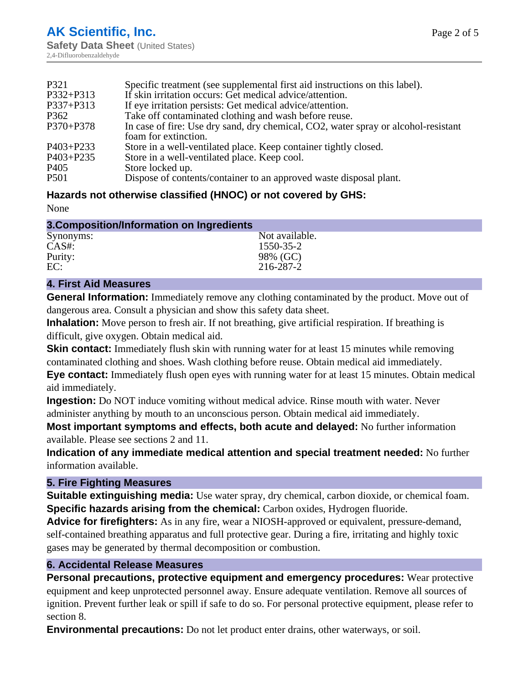| P321             | Specific treatment (see supplemental first aid instructions on this label).        |
|------------------|------------------------------------------------------------------------------------|
| P332+P313        | If skin irritation occurs: Get medical advice/attention.                           |
| P337+P313        | If eye irritation persists: Get medical advice/attention.                          |
| P362             | Take off contaminated clothing and wash before reuse.                              |
| P370+P378        | In case of fire: Use dry sand, dry chemical, CO2, water spray or alcohol-resistant |
|                  | foam for extinction.                                                               |
| $P403 + P233$    | Store in a well-ventilated place. Keep container tightly closed.                   |
| P403+P235        | Store in a well-ventilated place. Keep cool.                                       |
| P <sub>405</sub> | Store locked up.                                                                   |
| <b>P501</b>      | Dispose of contents/container to an approved waste disposal plant.                 |

## **Hazards not otherwise classified (HNOC) or not covered by GHS:**

None

| 3. Composition/Information on Ingredients |                |
|-------------------------------------------|----------------|
| Synonyms:                                 | Not available. |
| $CAS#$ :                                  | 1550-35-2      |
| Purity:                                   | 98% (GC)       |
| EC:                                       | 216-287-2      |

## **4. First Aid Measures**

**General Information:** Immediately remove any clothing contaminated by the product. Move out of dangerous area. Consult a physician and show this safety data sheet.

**Inhalation:** Move person to fresh air. If not breathing, give artificial respiration. If breathing is difficult, give oxygen. Obtain medical aid.

**Skin contact:** Immediately flush skin with running water for at least 15 minutes while removing contaminated clothing and shoes. Wash clothing before reuse. Obtain medical aid immediately.

**Eye contact:** Immediately flush open eyes with running water for at least 15 minutes. Obtain medical aid immediately.

**Ingestion:** Do NOT induce vomiting without medical advice. Rinse mouth with water. Never administer anything by mouth to an unconscious person. Obtain medical aid immediately.

**Most important symptoms and effects, both acute and delayed:** No further information available. Please see sections 2 and 11.

**Indication of any immediate medical attention and special treatment needed:** No further information available.

## **5. Fire Fighting Measures**

**Suitable extinguishing media:** Use water spray, dry chemical, carbon dioxide, or chemical foam. **Specific hazards arising from the chemical:** Carbon oxides, Hydrogen fluoride.

**Advice for firefighters:** As in any fire, wear a NIOSH-approved or equivalent, pressure-demand, self-contained breathing apparatus and full protective gear. During a fire, irritating and highly toxic gases may be generated by thermal decomposition or combustion.

## **6. Accidental Release Measures**

**Personal precautions, protective equipment and emergency procedures:** Wear protective equipment and keep unprotected personnel away. Ensure adequate ventilation. Remove all sources of ignition. Prevent further leak or spill if safe to do so. For personal protective equipment, please refer to section 8.

**Environmental precautions:** Do not let product enter drains, other waterways, or soil.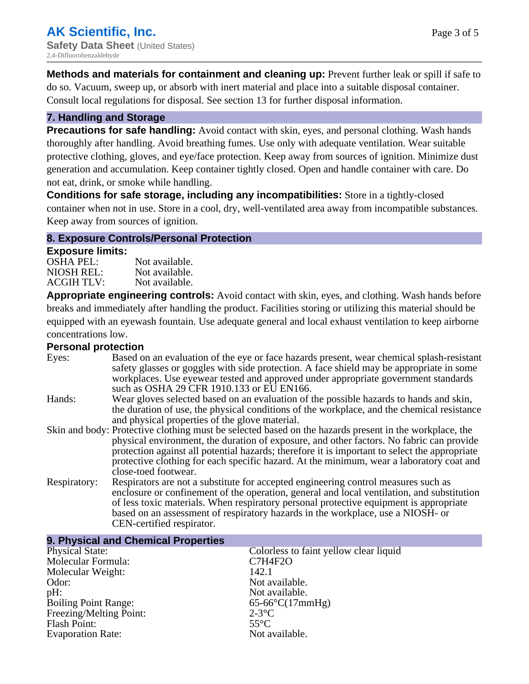**Methods and materials for containment and cleaning up:** Prevent further leak or spill if safe to do so. Vacuum, sweep up, or absorb with inert material and place into a suitable disposal container. Consult local regulations for disposal. See section 13 for further disposal information.

#### **7. Handling and Storage**

**Precautions for safe handling:** Avoid contact with skin, eyes, and personal clothing. Wash hands thoroughly after handling. Avoid breathing fumes. Use only with adequate ventilation. Wear suitable protective clothing, gloves, and eye/face protection. Keep away from sources of ignition. Minimize dust generation and accumulation. Keep container tightly closed. Open and handle container with care. Do not eat, drink, or smoke while handling.

**Conditions for safe storage, including any incompatibilities:** Store in a tightly-closed container when not in use. Store in a cool, dry, well-ventilated area away from incompatible substances. Keep away from sources of ignition.

#### **8. Exposure Controls/Personal Protection**

#### **Exposure limits:**

| OSHA PEL:  | Not available. |
|------------|----------------|
| NIOSH REL: | Not available. |
| ACGIH TLV: | Not available. |

**Appropriate engineering controls:** Avoid contact with skin, eyes, and clothing. Wash hands before breaks and immediately after handling the product. Facilities storing or utilizing this material should be equipped with an eyewash fountain. Use adequate general and local exhaust ventilation to keep airborne concentrations low.

### **Personal protection**

| Eyes:        | Based on an evaluation of the eye or face hazards present, wear chemical splash-resistant<br>safety glasses or goggles with side protection. A face shield may be appropriate in some<br>workplaces. Use eyewear tested and approved under appropriate government standards<br>such as OSHA 29 CFR 1910.133 or EU EN166.                                                                                                |
|--------------|-------------------------------------------------------------------------------------------------------------------------------------------------------------------------------------------------------------------------------------------------------------------------------------------------------------------------------------------------------------------------------------------------------------------------|
| Hands:       | Wear gloves selected based on an evaluation of the possible hazards to hands and skin,<br>the duration of use, the physical conditions of the workplace, and the chemical resistance<br>and physical properties of the glove material.                                                                                                                                                                                  |
|              | Skin and body: Protective clothing must be selected based on the hazards present in the workplace, the<br>physical environment, the duration of exposure, and other factors. No fabric can provide<br>protection against all potential hazards; therefore it is important to select the appropriate<br>protective clothing for each specific hazard. At the minimum, wear a laboratory coat and<br>close-toed footwear. |
| Respiratory: | Respirators are not a substitute for accepted engineering control measures such as<br>enclosure or confinement of the operation, general and local ventilation, and substitution<br>of less toxic materials. When respiratory personal protective equipment is appropriate<br>based on an assessment of respiratory hazards in the workplace, use a NIOSH- or<br>CEN-certified respirator.                              |

| 9. Physical and Chemical Properties |                                        |
|-------------------------------------|----------------------------------------|
| <b>Physical State:</b>              | Colorless to faint yellow clear liquid |
| Molecular Formula:                  | <b>C7H4F2O</b>                         |
| Molecular Weight:                   | 142.1                                  |
| Odor:                               | Not available.                         |
| pH:                                 | Not available.                         |
| <b>Boiling Point Range:</b>         | $65-66^{\circ}C(17mmHg)$               |
| Freezing/Melting Point:             | $2-3$ °C                               |
| Flash Point:                        | $55^{\circ}$ C                         |
| <b>Evaporation Rate:</b>            | Not available.                         |
|                                     |                                        |

## **9. Physical and Chemical Properties**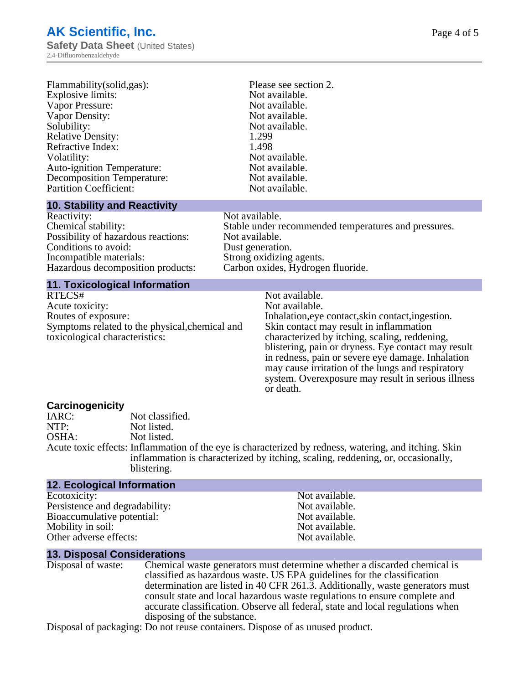| Flammability(solid,gas):          | Please see section 2. |  |
|-----------------------------------|-----------------------|--|
| Explosive limits:                 | Not available.        |  |
| Vapor Pressure:                   | Not available.        |  |
| Vapor Density:                    | Not available.        |  |
| Solubility:                       | Not available.        |  |
| <b>Relative Density:</b>          | 1.299                 |  |
| Refractive Index:                 | 1.498                 |  |
| Volatility:                       | Not available.        |  |
| <b>Auto-ignition Temperature:</b> | Not available.        |  |
| <b>Decomposition Temperature:</b> | Not available.        |  |
| <b>Partition Coefficient:</b>     | Not available.        |  |
| <b>A ALL THE SET BELLEVILLE</b>   |                       |  |

#### **10. Stability and Reactivity**

#### Not available. Stable under recommended temperatures and pressures. Not available. Dust generation. Strong oxidizing agents. Carbon oxides, Hydrogen fluoride.

## **11. Toxicological Information**

| RTECS#                                         |
|------------------------------------------------|
| Acute toxicity:                                |
| Routes of exposure:                            |
| Symptoms related to the physical, chemical and |
| toxicological characteristics:                 |

Not available. Not available. Inhalation,eye contact, skin contact, ingestion. Skin contact may result in inflammation characterized by itching, scaling, reddening, blistering, pain or dryness. Eye contact may result in redness, pain or severe eye damage. Inhalation may cause irritation of the lungs and respiratory system. Overexposure may result in serious illness or death.

#### **Carcinogenicity**

| Not classified.                                                                                       |
|-------------------------------------------------------------------------------------------------------|
| Not listed.                                                                                           |
| Not listed.                                                                                           |
| Acute toxic effects: Inflammation of the eye is characterized by redness, watering, and itching. Skin |
| inflammation is characterized by itching, scaling, reddening, or, occasionally,                       |
| blistering.                                                                                           |
|                                                                                                       |

| <b>12. Ecological Information</b> |                |
|-----------------------------------|----------------|
| Ecotoxicity:                      | Not available. |
| Persistence and degradability:    | Not available. |
| Bioaccumulative potential:        | Not available. |
| Mobility in soil:                 | Not available. |
| Other adverse effects:            | Not available. |

#### **13. Disposal Considerations**

| Disposal of waste: | Chemical waste generators must determine whether a discarded chemical is       |
|--------------------|--------------------------------------------------------------------------------|
|                    | classified as hazardous waste. US EPA guidelines for the classification        |
|                    | determination are listed in 40 CFR 261.3. Additionally, waste generators must  |
|                    | consult state and local hazardous waste regulations to ensure complete and     |
|                    | accurate classification. Observe all federal, state and local regulations when |
|                    | disposing of the substance.                                                    |

Disposal of packaging: Do not reuse containers. Dispose of as unused product.